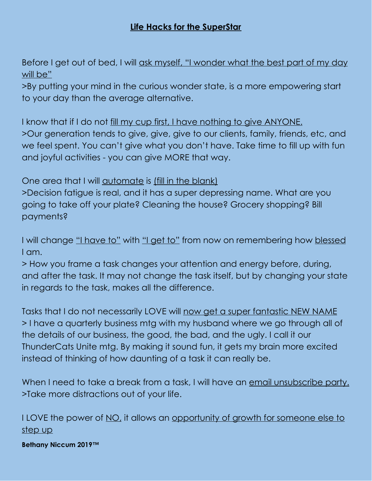## **Life Hacks for the SuperStar**

Before I get out of bed, I will ask myself, "I wonder what the best part of my day will be"

>By putting your mind in the curious wonder state, is a more empowering start to your day than the average alternative.

I know that if I do not fill my cup first, I have nothing to give ANYONE. >Our generation tends to give, give, give to our clients, family, friends, etc, and we feel spent. You can't give what you don't have. Take time to fill up with fun and joyful activities - you can give MORE that way.

One area that I will **automate** is *fill in the blank*)

>Decision fatigue is real, and it has a super depressing name. What are you going to take off your plate? Cleaning the house? Grocery shopping? Bill payments?

I will change "I have to" with "I get to" from now on remembering how blessed I am.

> How you frame a task changes your attention and energy before, during, and after the task. It may not change the task itself, but by changing your state in regards to the task, makes all the difference.

Tasks that I do not necessarily LOVE will now get a super fantastic NEW NAME > I have a quarterly business mtg with my husband where we go through all of the details of our business, the good, the bad, and the ugly. I call it our ThunderCats Unite mtg. By making it sound fun, it gets my brain more excited instead of thinking of how daunting of a task it can really be.

When I need to take a break from a task, I will have an email unsubscribe party. >Take more distractions out of your life.

I LOVE the power of NO, it allows an opportunity of growth for someone else to step up

**Bethany Niccum 2019™**